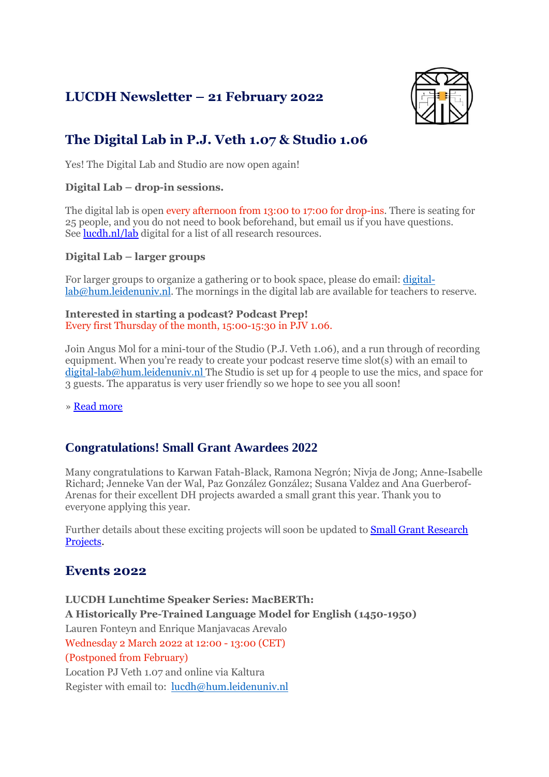## **LUCDH Newsletter – 21 February 2022**



# **The Digital Lab in P.J. Veth 1.07 & Studio 1.06**

Yes! The Digital Lab and Studio are now open again!

#### **Digital Lab – drop-in sessions.**

The digital lab is open every afternoon from 13:00 to 17:00 for drop-ins. There is seating for 25 people, and you do not need to book beforehand, but email us if you have questions. See [lucdh.nl/lab](https://www.universiteitleiden.nl/en/humanities/centre-for-digital-humanities/digital-lab) digital for a list of all research resources.

#### **Digital Lab – larger groups**

For larger groups to organize a gathering or to book space, please do email: [digital](mailto:digital-lab@hum.leidenuniv.nl)[lab@hum.leidenuniv.nl.](mailto:digital-lab@hum.leidenuniv.nl) The mornings in the digital lab are available for teachers to reserve.

**Interested in starting a podcast? Podcast Prep!** Every first Thursday of the month, 15:00-15:30 in PJV 1.06.

Join Angus Mol for a mini-tour of the Studio (P.J. Veth 1.06), and a run through of recording equipment. When you're ready to create your podcast reserve time slot(s) with an email to [digital-lab@hum.leidenuniv.nl](mailto:digital-lab@hum.leidenuniv.nl) The Studio is set up for 4 people to use the mics, and space for 3 guests. The apparatus is very user friendly so we hope to see you all soon!

» Read [more](https://www.universiteitleiden.nl/en/humanities/centre-for-digital-humanities/digital-lab)

## **Congratulations! Small Grant Awardees 2022**

Many congratulations to Karwan Fatah-Black, Ramona Negrón; Nivja de Jong; Anne-Isabelle Richard; Jenneke Van der Wal, Paz González González; Susana Valdez and Ana Guerberof-Arenas for their excellent DH projects awarded a small grant this year. Thank you to everyone applying this year.

Further details about these exciting projects will soon be updated to Small Grant [Research](https://www.universiteitleiden.nl/en/humanities/centre-for-digital-humanities/projects/small-grant-projects) [Projects.](https://www.universiteitleiden.nl/en/humanities/centre-for-digital-humanities/projects/small-grant-projects)

## **Events 2022**

**LUCDH Lunchtime Speaker Series: MacBERTh: A Historically Pre-Trained Language Model for English (1450-1950)** Lauren Fonteyn and Enrique Manjavacas Arevalo Wednesday 2 March 2022 at 12:00 - 13:00 (CET) (Postponed from February) Location PJ Veth 1.07 and online via Kaltura Register with email to: [lucdh@hum.leidenuniv.nl](mailto:lucdh@hum.leidenuniv.nl)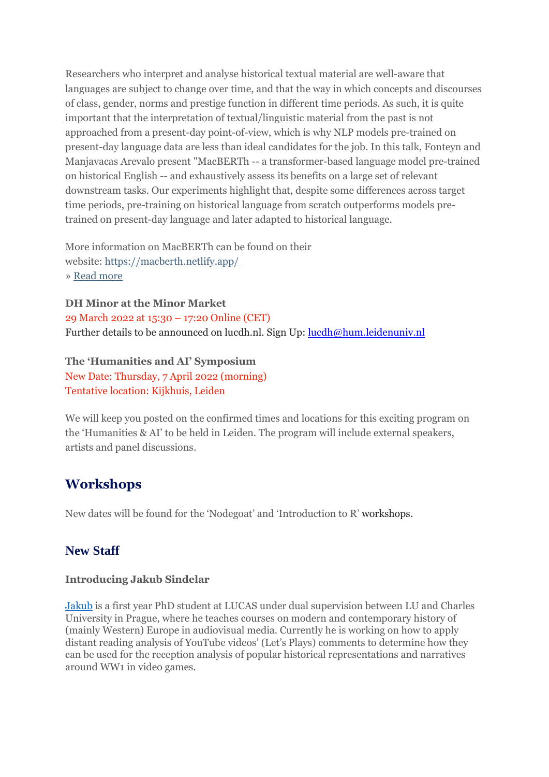Researchers who interpret and analyse historical textual material are well-aware that languages are subject to change over time, and that the way in which concepts and discourses of class, gender, norms and prestige function in different time periods. As such, it is quite important that the interpretation of textual/linguistic material from the past is not approached from a present-day point-of-view, which is why NLP models pre-trained on present-day language data are less than ideal candidates for the job. In this talk, Fonteyn and Manjavacas Arevalo present "MacBERTh -- a transformer-based language model pre-trained on historical English -- and exhaustively assess its benefits on a large set of relevant downstream tasks. Our experiments highlight that, despite some differences across target time periods, pre-training on historical language from scratch outperforms models pretrained on present-day language and later adapted to historical language.

More information on MacBERTh can be found on their website: [https://macberth.netlify.app/](https://eur03.safelinks.protection.outlook.com/?url=https%3A%2F%2Fmailings.universiteitleiden.nl%2Ft%2Fd-l-aktiykl-ildrlkutiy-i%2F&data=04%7C01%7Ca.j.carter%40hum.leidenuniv.nl%7C4411698a10cf48e2a9bc08d9e18d56e7%7Cca2a7f76dbd74ec091086b3d524fb7c8%7C0%7C0%7C637788819442258702%7CUnknown%7CTWFpbGZsb3d8eyJWIjoiMC4wLjAwMDAiLCJQIjoiV2luMzIiLCJBTiI6Ik1haWwiLCJXVCI6Mn0%3D%7C3000&sdata=BCuR%2FtbkjtYHlfgHZ3b7FzK9suHzsDErMsiIJAgjiP0%3D&reserved=0) » Read [more](https://www.universiteitleiden.nl/en/events/2022/02/lucdh-lunchtime-speaker-series-fonteyn-manjavacas)

**DH Minor at the Minor Market** 29 March 2022 at 15:30 – 17:20 Online (CET)

Further details to be announced on lucdh.nl. Sign Up: [lucdh@hum.leidenuniv.nl](mailto:lucdh@hum.leidenuniv.nl)

#### **The 'Humanities and AI' Symposium**

New Date: Thursday, 7 April 2022 (morning) Tentative location: Kijkhuis, Leiden

We will keep you posted on the confirmed times and locations for this exciting program on the 'Humanities & AI' to be held in Leiden. The program will include external speakers, artists and panel discussions.

## **Workshops**

New dates will be found for the 'Nodegoat' and 'Introduction to R' workshops.

## **New Staff**

#### **Introducing Jakub Sindelar**

[Jakub](https://eur03.safelinks.protection.outlook.com/?url=https%3A%2F%2Fwww.universiteitleiden.nl%2Fen%2Fstaffmembers%2Fkuba-sindelar%23tab-1&data=04%7C01%7Clucdh%40hum.leidenuniv.nl%7C5ce42e74cac146f3e60f08d9f2e45a84%7Cca2a7f76dbd74ec091086b3d524fb7c8%7C0%7C0%7C637807884853707109%7CUnknown%7CTWFpbGZsb3d8eyJWIjoiMC4wLjAwMDAiLCJQIjoiV2luMzIiLCJBTiI6Ik1haWwiLCJXVCI6Mn0%3D%7C3000&sdata=icXDLdGHpmOQIFv4e9x1LvNw%2FDmEOiR7pw%2FtCj%2FVD8k%3D&reserved=0) is a first year PhD student at LUCAS under dual supervision between LU and Charles University in Prague, where he teaches courses on modern and contemporary history of (mainly Western) Europe in audiovisual media. Currently he is working on how to apply distant reading analysis of YouTube videos' (Let's Plays) comments to determine how they can be used for the reception analysis of popular historical representations and narratives around WW1 in video games.